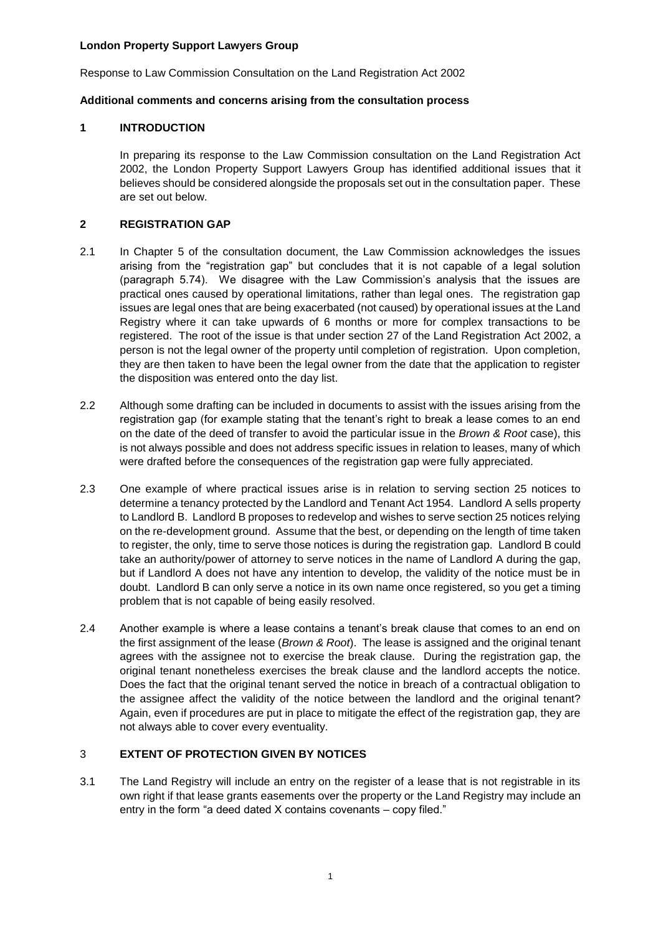Response to Law Commission Consultation on the Land Registration Act 2002

## **Additional comments and concerns arising from the consultation process**

### **1 INTRODUCTION**

In preparing its response to the Law Commission consultation on the Land Registration Act 2002, the London Property Support Lawyers Group has identified additional issues that it believes should be considered alongside the proposals set out in the consultation paper. These are set out below.

### **2 REGISTRATION GAP**

- 2.1 In Chapter 5 of the consultation document, the Law Commission acknowledges the issues arising from the "registration gap" but concludes that it is not capable of a legal solution (paragraph 5.74). We disagree with the Law Commission's analysis that the issues are practical ones caused by operational limitations, rather than legal ones. The registration gap issues are legal ones that are being exacerbated (not caused) by operational issues at the Land Registry where it can take upwards of 6 months or more for complex transactions to be registered. The root of the issue is that under section 27 of the Land Registration Act 2002, a person is not the legal owner of the property until completion of registration. Upon completion, they are then taken to have been the legal owner from the date that the application to register the disposition was entered onto the day list.
- 2.2 Although some drafting can be included in documents to assist with the issues arising from the registration gap (for example stating that the tenant's right to break a lease comes to an end on the date of the deed of transfer to avoid the particular issue in the *Brown & Root* case), this is not always possible and does not address specific issues in relation to leases, many of which were drafted before the consequences of the registration gap were fully appreciated.
- 2.3 One example of where practical issues arise is in relation to serving section 25 notices to determine a tenancy protected by the Landlord and Tenant Act 1954. Landlord A sells property to Landlord B. Landlord B proposes to redevelop and wishes to serve section 25 notices relying on the re-development ground. Assume that the best, or depending on the length of time taken to register, the only, time to serve those notices is during the registration gap. Landlord B could take an authority/power of attorney to serve notices in the name of Landlord A during the gap, but if Landlord A does not have any intention to develop, the validity of the notice must be in doubt. Landlord B can only serve a notice in its own name once registered, so you get a timing problem that is not capable of being easily resolved.
- 2.4 Another example is where a lease contains a tenant's break clause that comes to an end on the first assignment of the lease (*Brown & Root*). The lease is assigned and the original tenant agrees with the assignee not to exercise the break clause. During the registration gap, the original tenant nonetheless exercises the break clause and the landlord accepts the notice. Does the fact that the original tenant served the notice in breach of a contractual obligation to the assignee affect the validity of the notice between the landlord and the original tenant? Again, even if procedures are put in place to mitigate the effect of the registration gap, they are not always able to cover every eventuality.

## 3 **EXTENT OF PROTECTION GIVEN BY NOTICES**

3.1 The Land Registry will include an entry on the register of a lease that is not registrable in its own right if that lease grants easements over the property or the Land Registry may include an entry in the form "a deed dated X contains covenants – copy filed."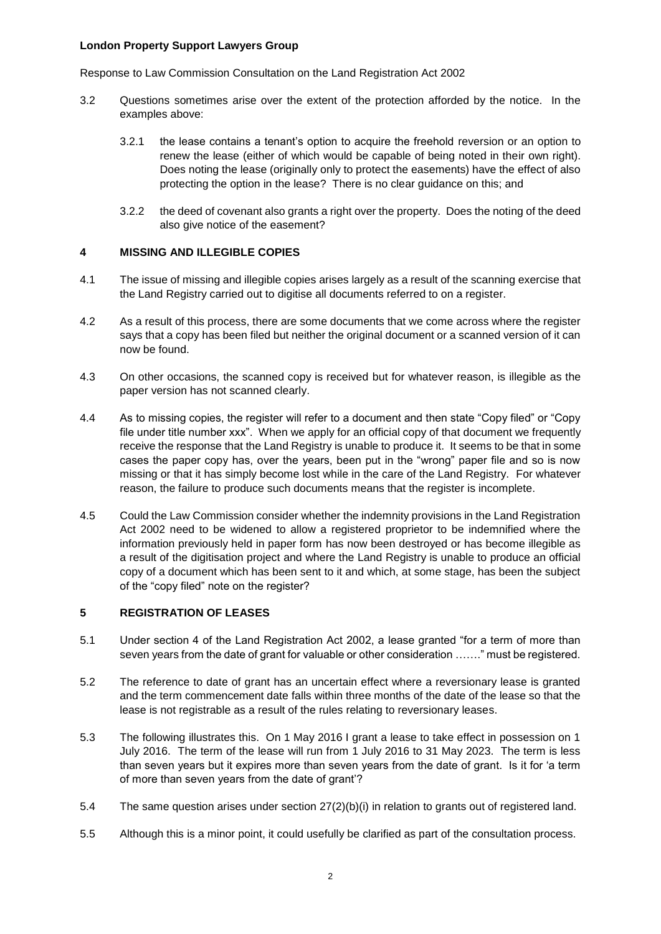Response to Law Commission Consultation on the Land Registration Act 2002

- 3.2 Questions sometimes arise over the extent of the protection afforded by the notice. In the examples above:
	- 3.2.1 the lease contains a tenant's option to acquire the freehold reversion or an option to renew the lease (either of which would be capable of being noted in their own right). Does noting the lease (originally only to protect the easements) have the effect of also protecting the option in the lease? There is no clear guidance on this; and
	- 3.2.2 the deed of covenant also grants a right over the property. Does the noting of the deed also give notice of the easement?

## **4 MISSING AND ILLEGIBLE COPIES**

- 4.1 The issue of missing and illegible copies arises largely as a result of the scanning exercise that the Land Registry carried out to digitise all documents referred to on a register.
- 4.2 As a result of this process, there are some documents that we come across where the register says that a copy has been filed but neither the original document or a scanned version of it can now be found.
- 4.3 On other occasions, the scanned copy is received but for whatever reason, is illegible as the paper version has not scanned clearly.
- 4.4 As to missing copies, the register will refer to a document and then state "Copy filed" or "Copy file under title number xxx". When we apply for an official copy of that document we frequently receive the response that the Land Registry is unable to produce it. It seems to be that in some cases the paper copy has, over the years, been put in the "wrong" paper file and so is now missing or that it has simply become lost while in the care of the Land Registry. For whatever reason, the failure to produce such documents means that the register is incomplete.
- 4.5 Could the Law Commission consider whether the indemnity provisions in the Land Registration Act 2002 need to be widened to allow a registered proprietor to be indemnified where the information previously held in paper form has now been destroyed or has become illegible as a result of the digitisation project and where the Land Registry is unable to produce an official copy of a document which has been sent to it and which, at some stage, has been the subject of the "copy filed" note on the register?

## **5 REGISTRATION OF LEASES**

- 5.1 Under section 4 of the Land Registration Act 2002, a lease granted "for a term of more than seven years from the date of grant for valuable or other consideration ……." must be registered.
- 5.2 The reference to date of grant has an uncertain effect where a reversionary lease is granted and the term commencement date falls within three months of the date of the lease so that the lease is not registrable as a result of the rules relating to reversionary leases.
- 5.3 The following illustrates this. On 1 May 2016 I grant a lease to take effect in possession on 1 July 2016. The term of the lease will run from 1 July 2016 to 31 May 2023. The term is less than seven years but it expires more than seven years from the date of grant. Is it for 'a term of more than seven years from the date of grant'?
- 5.4 The same question arises under section 27(2)(b)(i) in relation to grants out of registered land.
- 5.5 Although this is a minor point, it could usefully be clarified as part of the consultation process.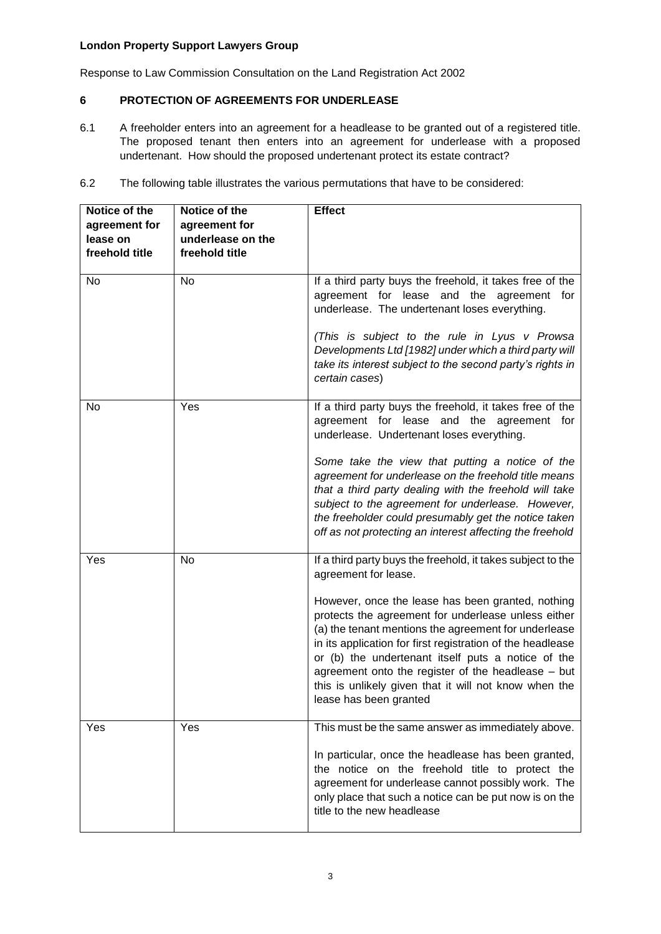Response to Law Commission Consultation on the Land Registration Act 2002

## **6 PROTECTION OF AGREEMENTS FOR UNDERLEASE**

- 6.1 A freeholder enters into an agreement for a headlease to be granted out of a registered title. The proposed tenant then enters into an agreement for underlease with a proposed undertenant. How should the proposed undertenant protect its estate contract?
- 6.2 The following table illustrates the various permutations that have to be considered:

| Notice of the<br>agreement for<br>lease on<br>freehold title | Notice of the<br>agreement for<br>underlease on the<br>freehold title | <b>Effect</b>                                                                                                                                                                                                                                                                                                                                                                                                                 |
|--------------------------------------------------------------|-----------------------------------------------------------------------|-------------------------------------------------------------------------------------------------------------------------------------------------------------------------------------------------------------------------------------------------------------------------------------------------------------------------------------------------------------------------------------------------------------------------------|
| No                                                           | No                                                                    | If a third party buys the freehold, it takes free of the<br>agreement for lease and the agreement for<br>underlease. The undertenant loses everything.<br>(This is subject to the rule in Lyus v Prowsa                                                                                                                                                                                                                       |
|                                                              |                                                                       | Developments Ltd [1982] under which a third party will<br>take its interest subject to the second party's rights in<br>certain cases)                                                                                                                                                                                                                                                                                         |
| No                                                           | Yes                                                                   | If a third party buys the freehold, it takes free of the<br>agreement for lease and the agreement for<br>underlease. Undertenant loses everything.                                                                                                                                                                                                                                                                            |
|                                                              |                                                                       | Some take the view that putting a notice of the<br>agreement for underlease on the freehold title means<br>that a third party dealing with the freehold will take<br>subject to the agreement for underlease. However,<br>the freeholder could presumably get the notice taken<br>off as not protecting an interest affecting the freehold                                                                                    |
| Yes                                                          | No                                                                    | If a third party buys the freehold, it takes subject to the<br>agreement for lease.                                                                                                                                                                                                                                                                                                                                           |
|                                                              |                                                                       | However, once the lease has been granted, nothing<br>protects the agreement for underlease unless either<br>(a) the tenant mentions the agreement for underlease<br>in its application for first registration of the headlease<br>or (b) the undertenant itself puts a notice of the<br>agreement onto the register of the headlease - but<br>this is unlikely given that it will not know when the<br>lease has been granted |
| Yes                                                          | Yes                                                                   | This must be the same answer as immediately above.                                                                                                                                                                                                                                                                                                                                                                            |
|                                                              |                                                                       | In particular, once the headlease has been granted,<br>the notice on the freehold title to protect the<br>agreement for underlease cannot possibly work. The<br>only place that such a notice can be put now is on the<br>title to the new headlease                                                                                                                                                                          |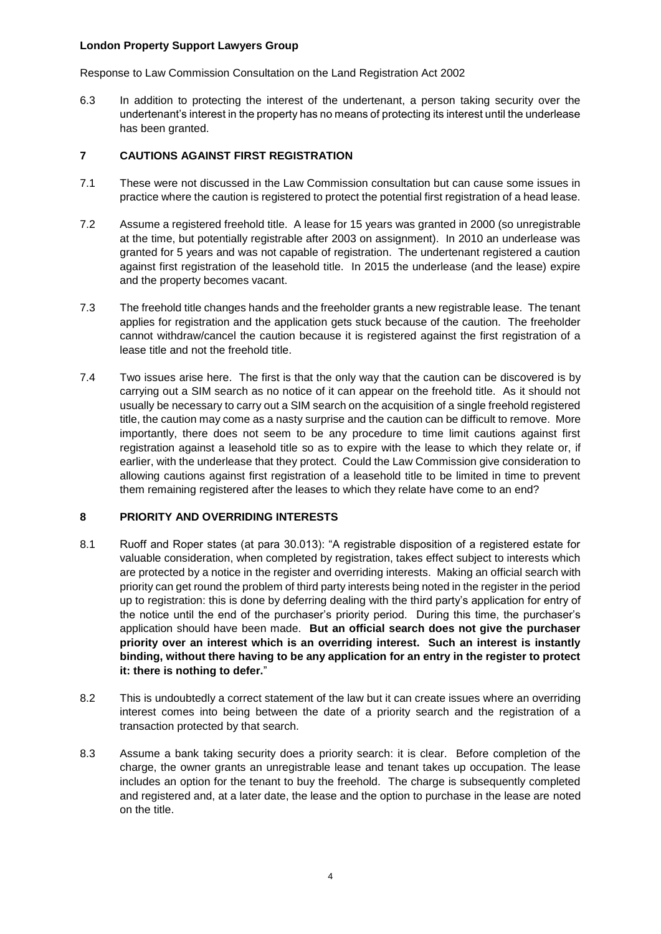Response to Law Commission Consultation on the Land Registration Act 2002

6.3 In addition to protecting the interest of the undertenant, a person taking security over the undertenant's interest in the property has no means of protecting its interest until the underlease has been granted.

## **7 CAUTIONS AGAINST FIRST REGISTRATION**

- 7.1 These were not discussed in the Law Commission consultation but can cause some issues in practice where the caution is registered to protect the potential first registration of a head lease.
- 7.2 Assume a registered freehold title. A lease for 15 years was granted in 2000 (so unregistrable at the time, but potentially registrable after 2003 on assignment). In 2010 an underlease was granted for 5 years and was not capable of registration. The undertenant registered a caution against first registration of the leasehold title. In 2015 the underlease (and the lease) expire and the property becomes vacant.
- 7.3 The freehold title changes hands and the freeholder grants a new registrable lease. The tenant applies for registration and the application gets stuck because of the caution. The freeholder cannot withdraw/cancel the caution because it is registered against the first registration of a lease title and not the freehold title.
- 7.4 Two issues arise here. The first is that the only way that the caution can be discovered is by carrying out a SIM search as no notice of it can appear on the freehold title. As it should not usually be necessary to carry out a SIM search on the acquisition of a single freehold registered title, the caution may come as a nasty surprise and the caution can be difficult to remove. More importantly, there does not seem to be any procedure to time limit cautions against first registration against a leasehold title so as to expire with the lease to which they relate or, if earlier, with the underlease that they protect. Could the Law Commission give consideration to allowing cautions against first registration of a leasehold title to be limited in time to prevent them remaining registered after the leases to which they relate have come to an end?

## **8 PRIORITY AND OVERRIDING INTERESTS**

- 8.1 Ruoff and Roper states (at para 30.013): "A registrable disposition of a registered estate for valuable consideration, when completed by registration, takes effect subject to interests which are protected by a notice in the register and overriding interests. Making an official search with priority can get round the problem of third party interests being noted in the register in the period up to registration: this is done by deferring dealing with the third party's application for entry of the notice until the end of the purchaser's priority period. During this time, the purchaser's application should have been made. **But an official search does not give the purchaser priority over an interest which is an overriding interest. Such an interest is instantly binding, without there having to be any application for an entry in the register to protect it: there is nothing to defer.**"
- 8.2 This is undoubtedly a correct statement of the law but it can create issues where an overriding interest comes into being between the date of a priority search and the registration of a transaction protected by that search.
- 8.3 Assume a bank taking security does a priority search: it is clear. Before completion of the charge, the owner grants an unregistrable lease and tenant takes up occupation. The lease includes an option for the tenant to buy the freehold. The charge is subsequently completed and registered and, at a later date, the lease and the option to purchase in the lease are noted on the title.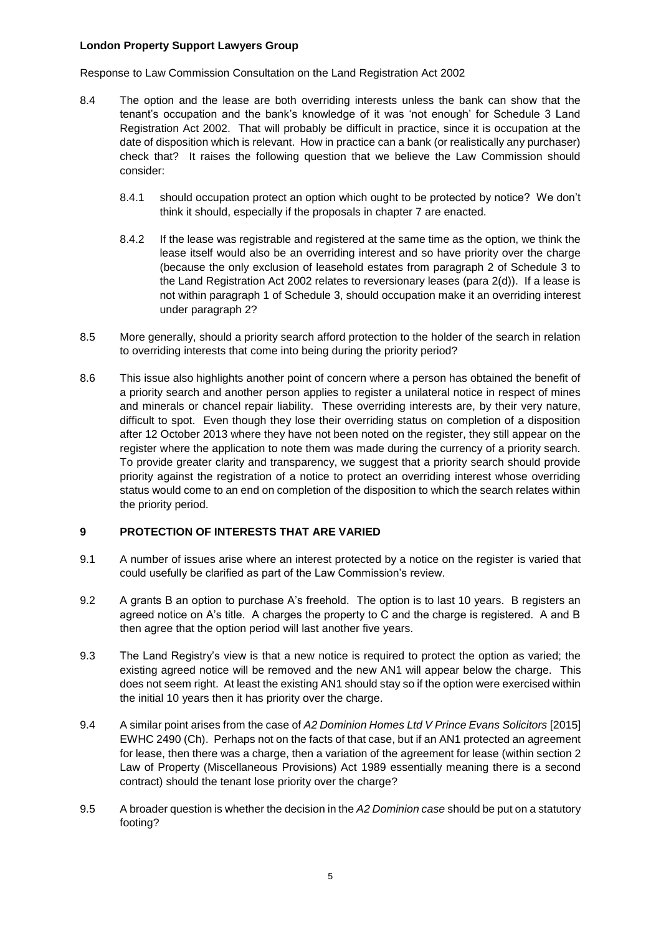Response to Law Commission Consultation on the Land Registration Act 2002

- 8.4 The option and the lease are both overriding interests unless the bank can show that the tenant's occupation and the bank's knowledge of it was 'not enough' for Schedule 3 Land Registration Act 2002. That will probably be difficult in practice, since it is occupation at the date of disposition which is relevant. How in practice can a bank (or realistically any purchaser) check that? It raises the following question that we believe the Law Commission should consider:
	- 8.4.1 should occupation protect an option which ought to be protected by notice? We don't think it should, especially if the proposals in chapter 7 are enacted.
	- 8.4.2 If the lease was registrable and registered at the same time as the option, we think the lease itself would also be an overriding interest and so have priority over the charge (because the only exclusion of leasehold estates from paragraph 2 of Schedule 3 to the Land Registration Act 2002 relates to reversionary leases (para 2(d)). If a lease is not within paragraph 1 of Schedule 3, should occupation make it an overriding interest under paragraph 2?
- 8.5 More generally, should a priority search afford protection to the holder of the search in relation to overriding interests that come into being during the priority period?
- 8.6 This issue also highlights another point of concern where a person has obtained the benefit of a priority search and another person applies to register a unilateral notice in respect of mines and minerals or chancel repair liability. These overriding interests are, by their very nature, difficult to spot. Even though they lose their overriding status on completion of a disposition after 12 October 2013 where they have not been noted on the register, they still appear on the register where the application to note them was made during the currency of a priority search. To provide greater clarity and transparency, we suggest that a priority search should provide priority against the registration of a notice to protect an overriding interest whose overriding status would come to an end on completion of the disposition to which the search relates within the priority period.

## **9 PROTECTION OF INTERESTS THAT ARE VARIED**

- 9.1 A number of issues arise where an interest protected by a notice on the register is varied that could usefully be clarified as part of the Law Commission's review.
- 9.2 A grants B an option to purchase A's freehold. The option is to last 10 years. B registers an agreed notice on A's title. A charges the property to C and the charge is registered. A and B then agree that the option period will last another five years.
- 9.3 The Land Registry's view is that a new notice is required to protect the option as varied; the existing agreed notice will be removed and the new AN1 will appear below the charge. This does not seem right. At least the existing AN1 should stay so if the option were exercised within the initial 10 years then it has priority over the charge.
- 9.4 A similar point arises from the case of *A2 Dominion Homes Ltd V Prince Evans Solicitors* [2015] EWHC 2490 (Ch). Perhaps not on the facts of that case, but if an AN1 protected an agreement for lease, then there was a charge, then a variation of the agreement for lease (within section 2 Law of Property (Miscellaneous Provisions) Act 1989 essentially meaning there is a second contract) should the tenant lose priority over the charge?
- 9.5 A broader question is whether the decision in the *A2 Dominion case* should be put on a statutory footing?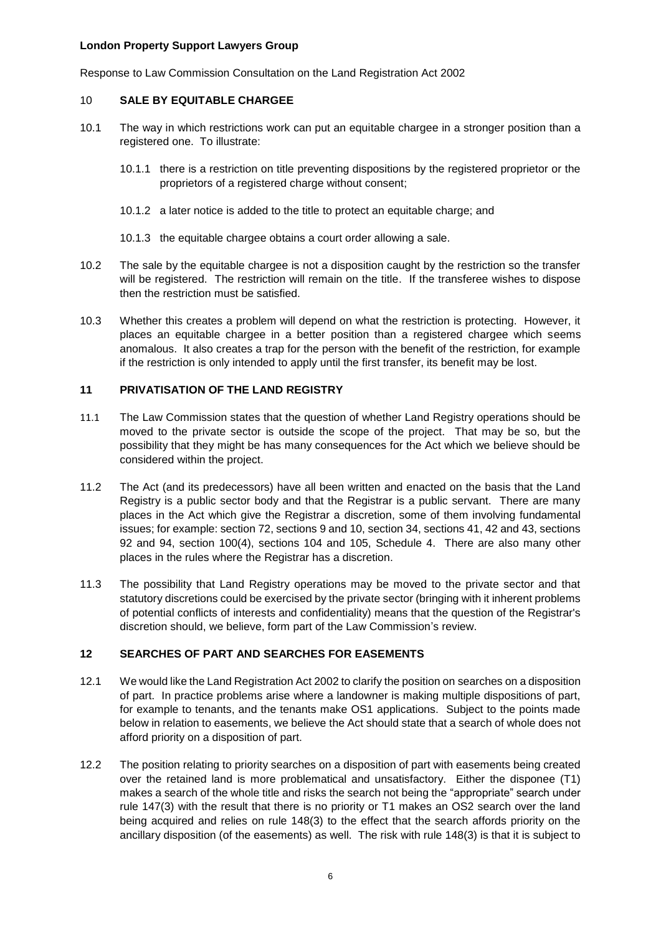Response to Law Commission Consultation on the Land Registration Act 2002

### 10 **SALE BY EQUITABLE CHARGEE**

- 10.1 The way in which restrictions work can put an equitable chargee in a stronger position than a registered one. To illustrate:
	- 10.1.1 there is a restriction on title preventing dispositions by the registered proprietor or the proprietors of a registered charge without consent;
	- 10.1.2 a later notice is added to the title to protect an equitable charge; and
	- 10.1.3 the equitable chargee obtains a court order allowing a sale.
- 10.2 The sale by the equitable chargee is not a disposition caught by the restriction so the transfer will be registered. The restriction will remain on the title. If the transferee wishes to dispose then the restriction must be satisfied.
- 10.3 Whether this creates a problem will depend on what the restriction is protecting. However, it places an equitable chargee in a better position than a registered chargee which seems anomalous. It also creates a trap for the person with the benefit of the restriction, for example if the restriction is only intended to apply until the first transfer, its benefit may be lost.

## **11 PRIVATISATION OF THE LAND REGISTRY**

- 11.1 The Law Commission states that the question of whether Land Registry operations should be moved to the private sector is outside the scope of the project. That may be so, but the possibility that they might be has many consequences for the Act which we believe should be considered within the project.
- 11.2 The Act (and its predecessors) have all been written and enacted on the basis that the Land Registry is a public sector body and that the Registrar is a public servant. There are many places in the Act which give the Registrar a discretion, some of them involving fundamental issues; for example: section 72, sections 9 and 10, section 34, sections 41, 42 and 43, sections 92 and 94, section 100(4), sections 104 and 105, Schedule 4. There are also many other places in the rules where the Registrar has a discretion.
- 11.3 The possibility that Land Registry operations may be moved to the private sector and that statutory discretions could be exercised by the private sector (bringing with it inherent problems of potential conflicts of interests and confidentiality) means that the question of the Registrar's discretion should, we believe, form part of the Law Commission's review.

## **12 SEARCHES OF PART AND SEARCHES FOR EASEMENTS**

- 12.1 We would like the Land Registration Act 2002 to clarify the position on searches on a disposition of part. In practice problems arise where a landowner is making multiple dispositions of part, for example to tenants, and the tenants make OS1 applications. Subject to the points made below in relation to easements, we believe the Act should state that a search of whole does not afford priority on a disposition of part.
- 12.2 The position relating to priority searches on a disposition of part with easements being created over the retained land is more problematical and unsatisfactory. Either the disponee (T1) makes a search of the whole title and risks the search not being the "appropriate" search under rule 147(3) with the result that there is no priority or T1 makes an OS2 search over the land being acquired and relies on rule 148(3) to the effect that the search affords priority on the ancillary disposition (of the easements) as well. The risk with rule 148(3) is that it is subject to